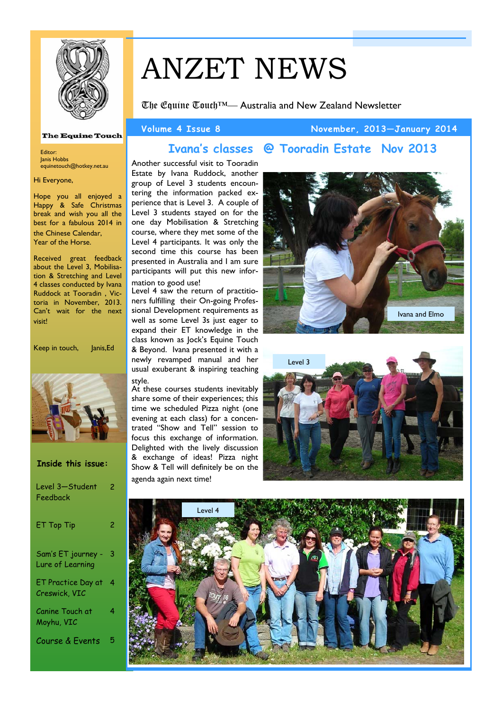

# ANZET NEWS

The Equine Touch™— Australia and New Zealand Newsletter

**Ivana's classes @ Tooradin Estate Nov 2013** 

mation to good use!

agenda again next time!

style.

### **Volume 4 Issue 8 November, 2013—January 2014**

### **The Equine Touch**

Editor: Janis Hobbs equinetouch@hotkey.net.au

### Hi Everyone,

Hope you all enjoyed a Happy & Safe Christmas break and wish you all the best for a fabulous 2014 in the Chinese Calendar, Year of the Horse.

Received great feedback about the Level 3, Mobilisation & Stretching and Level 4 classes conducted by Ivana Ruddock at Tooradin , Victoria in November, 2013. Can't wait for the next visit!

Keep in touch, Janis, Ed



| Inside this issue:                     |   |
|----------------------------------------|---|
| Level 3-Student<br>Feedback            | 2 |
| ET Top Tip                             | 2 |
| Sam's ET journey -<br>Lure of Learning | 3 |
| ET Practice Day at<br>Creswick, VIC    | 4 |
| Canine Touch at<br>Moyhu, VIC          | 4 |

Course & Events





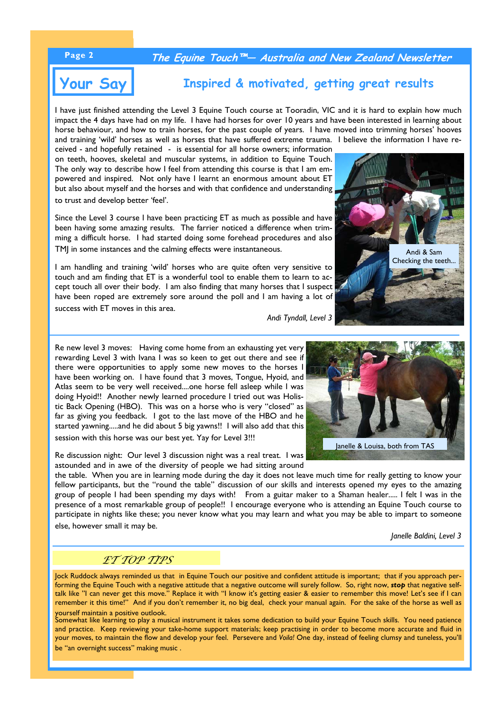### **Page 2 The Equine Touch™— Australia and New Zealand Newsletter**

# **Your Say**

# **Inspired & motivated, getting great results**

I have just finished attending the Level 3 Equine Touch course at Tooradin, VIC and it is hard to explain how much impact the 4 days have had on my life. I have had horses for over 10 years and have been interested in learning about horse behaviour, and how to train horses, for the past couple of years. I have moved into trimming horses' hooves and training 'wild' horses as well as horses that have suffered extreme trauma. I believe the information I have re-

ceived - and hopefully retained - is essential for all horse owners; information on teeth, hooves, skeletal and muscular systems, in addition to Equine Touch. The only way to describe how I feel from attending this course is that I am empowered and inspired. Not only have I learnt an enormous amount about ET but also about myself and the horses and with that confidence and understanding to trust and develop better 'feel'.

Since the Level 3 course I have been practicing ET as much as possible and have been having some amazing results. The farrier noticed a difference when trimming a difficult horse. I had started doing some forehead procedures and also TMJ in some instances and the calming effects were instantaneous.

I am handling and training 'wild' horses who are quite often very sensitive to touch and am finding that ET is a wonderful tool to enable them to learn to accept touch all over their body. I am also finding that many horses that I suspect have been roped are extremely sore around the poll and I am having a lot of success with ET moves in this area.

*Andi Tyndall, Level 3* 

Re new level 3 moves: Having come home from an exhausting yet very rewarding Level 3 with Ivana I was so keen to get out there and see if there were opportunities to apply some new moves to the horses I have been working on. I have found that 3 moves, Tongue, Hyoid, and Atlas seem to be very well received....one horse fell asleep while I was doing Hyoid!! Another newly learned procedure I tried out was Holistic Back Opening (HBO). This was on a horse who is very "closed" as far as giving you feedback. I got to the last move of the HBO and he started yawning.....and he did about 5 big yawns!! I will also add that this session with this horse was our best yet. Yay for Level 3!!!

Re discussion night: Our level 3 discussion night was a real treat. I was astounded and in awe of the diversity of people we had sitting around

the table. When you are in learning mode during the day it does not leave much time for really getting to know your fellow participants, but the "round the table" discussion of our skills and interests opened my eyes to the amazing group of people I had been spending my days with! From a guitar maker to a Shaman healer..... I felt I was in the presence of a most remarkable group of people!! I encourage everyone who is attending an Equine Touch course to participate in nights like these; you never know what you may learn and what you may be able to impart to someone else, however small it may be.

*Janelle Baldini, Level 3* 

### *ET TOP TIPS*

Jock Ruddock always reminded us that in Equine Touch our positive and confident attitude is important; that if you approach performing the Equine Touch with a negative attitude that a negative outcome will surely follow. So, right now, *stop* that negative selftalk like "I can never get this move." Replace it with "I know it's getting easier & easier to remember this move! Let's see if I can remember it this time!" And if you don't remember it, no big deal, check your manual again. For the sake of the horse as well as yourself maintain a positive outlook.

Somewhat like learning to play a musical instrument it takes some dedication to build your Equine Touch skills. You need patience and practice. Keep reviewing your take-home support materials; keep practising in order to become more accurate and fluid in your moves, to maintain the flow and develop your feel. Persevere and *Voila!* One day, instead of feeling clumsy and tuneless, you'll be "an overnight success" making music .



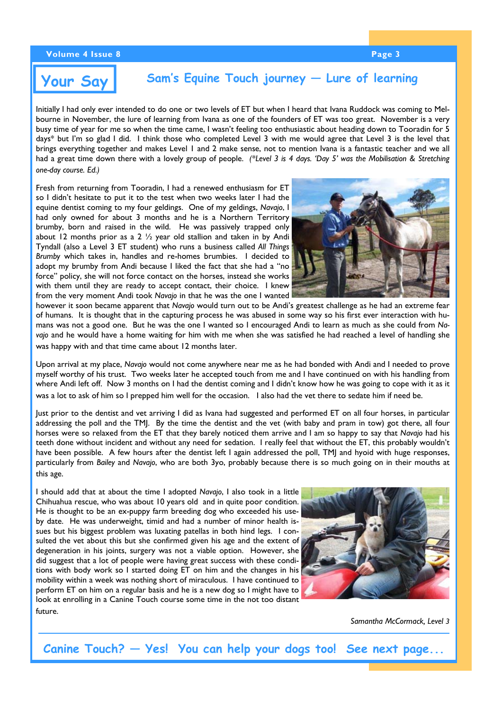### **Volume 4 Issue 8 Page 3**

# **Your Say**

### **Sam's Equine Touch journey — Lure of learning**

Initially I had only ever intended to do one or two levels of ET but when I heard that Ivana Ruddock was coming to Melbourne in November, the lure of learning from Ivana as one of the founders of ET was too great. November is a very busy time of year for me so when the time came, I wasn't feeling too enthusiastic about heading down to Tooradin for 5 days\* but I'm so glad I did. I think those who completed Level 3 with me would agree that Level 3 is the level that brings everything together and makes Level 1 and 2 make sense, not to mention Ivana is a fantastic teacher and we all had a great time down there with a lovely group of people. *(\*Level 3 is 4 days. 'Day 5' was the Mobilisation & Stretching one-day course. Ed.)*

Fresh from returning from Tooradin, I had a renewed enthusiasm for ET so I didn't hesitate to put it to the test when two weeks later I had the equine dentist coming to my four geldings. One of my geldings, *Navajo*, I had only owned for about 3 months and he is a Northern Territory brumby, born and raised in the wild. He was passively trapped only about 12 months prior as a 2  $\frac{1}{2}$  year old stallion and taken in by Andi Tyndall (also a Level 3 ET student) who runs a business called *All Things Brumby* which takes in, handles and re-homes brumbies. I decided to adopt my brumby from Andi because I liked the fact that she had a "no force" policy, she will not force contact on the horses, instead she works with them until they are ready to accept contact, their choice. I knew from the very moment Andi took *Navajo* in that he was the one I wanted



however it soon became apparent that *Navajo* would turn out to be Andi's greatest challenge as he had an extreme fear of humans. It is thought that in the capturing process he was abused in some way so his first ever interaction with humans was not a good one. But he was the one I wanted so I encouraged Andi to learn as much as she could from *Navajo* and he would have a home waiting for him with me when she was satisfied he had reached a level of handling she was happy with and that time came about 12 months later.

Upon arrival at my place, *Navajo* would not come anywhere near me as he had bonded with Andi and I needed to prove myself worthy of his trust. Two weeks later he accepted touch from me and I have continued on with his handling from where Andi left off. Now 3 months on I had the dentist coming and I didn't know how he was going to cope with it as it was a lot to ask of him so I prepped him well for the occasion. I also had the vet there to sedate him if need be.

Just prior to the dentist and vet arriving I did as Ivana had suggested and performed ET on all four horses, in particular addressing the poll and the TMJ. By the time the dentist and the vet (with baby and pram in tow) got there, all four horses were so relaxed from the ET that they barely noticed them arrive and I am so happy to say that *Navajo* had his teeth done without incident and without any need for sedation. I really feel that without the ET, this probably wouldn't have been possible. A few hours after the dentist left I again addressed the poll, TMJ and hyoid with huge responses, particularly from *Bailey* and *Navajo*, who are both 3yo, probably because there is so much going on in their mouths at this age.

I should add that at about the time I adopted *Navajo*, I also took in a little Chihuahua rescue, who was about 10 years old and in quite poor condition. He is thought to be an ex-puppy farm breeding dog who exceeded his useby date. He was underweight, timid and had a number of minor health issues but his biggest problem was luxating patellas in both hind legs. I consulted the vet about this but she confirmed given his age and the extent of degeneration in his joints, surgery was not a viable option. However, she did suggest that a lot of people were having great success with these conditions with body work so I started doing ET on him and the changes in his mobility within a week was nothing short of miraculous. I have continued to perform ET on him on a regular basis and he is a new dog so I might have to look at enrolling in a Canine Touch course some time in the not too distant future.



*Samantha McCormack, Level 3* 

**Canine Touch? — Yes! You can help your dogs too! See next page...**